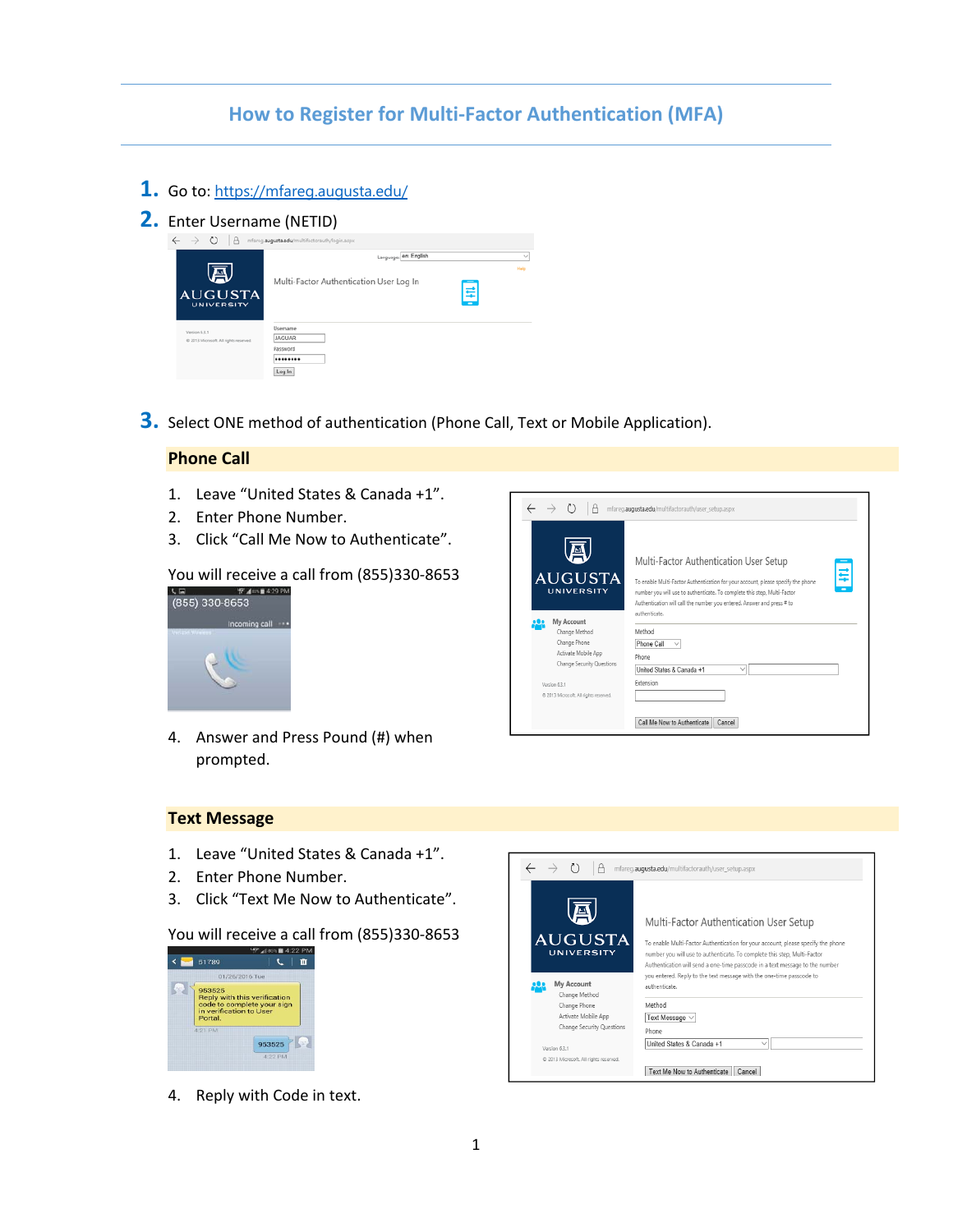# **How to Register for Multi‐Factor Authentication (MFA)**

- **1.** Go to: https://mfareg.augusta.edu/
- **2.** Enter Username (NETID)

| $\rightarrow$  | $\circ$                                | l â | mfareg.augusta.edu/multifactorauth/login.aspx                           |                |
|----------------|----------------------------------------|-----|-------------------------------------------------------------------------|----------------|
| <b>AUGUSTA</b> | 쓰<br>UNIVERSITY                        |     | Language:   en: English<br>Multi-Factor Authentication User Log In<br>Ę | $\sim$<br>Help |
| Version 6.3.1  | @ 2013 Microsoft, All rights reserved. |     | Usemame<br><b>JAGUAR</b><br>Password<br>********<br>Log In              |                |

**3.** Select ONE method of authentication (Phone Call, Text or Mobile Application).

### **Phone Call**

- 1. Leave "United States & Canada +1".
- 2. Enter Phone Number.
- 3. Click "Call Me Now to Authenticate".

# You will receive a call from  $(855)330-8653$



- $\leftarrow$  $\rightarrow$   $\circ$   $\Box$   $\Box$  mfareg.augusta.edu/multifactorauth/user\_setup.aspx 圓 Multi-Factor Authentication User Setup ₽ **AUGUSTA** To enable Multi-Factor Authentication for your account, please specify the phon UNIVERSITY number you will use to authenticate. To complete this step, Multi-Factor Authentication will call the number you entered. Answer and press # to authenticate. My Account Change Method Method Change Phone Phone Call  $\quad \vee$ Activate Mobile App Phone Change Security Questions United States & Canada +1 Version 6.3.1 Extension @ 2013 Microsoft. All rights n Call Me Now to Authenticate | Cancel
- 4. Answer and Press Pound (#) when prompted.

#### **Text Message**

- 1. Leave "United States & Canada +1".
- 2. Enter Phone Number.
- 3. Click "Text Me Now to Authenticate".

### You will receive a call from (855)330‐8653



4. Reply with Code in text.

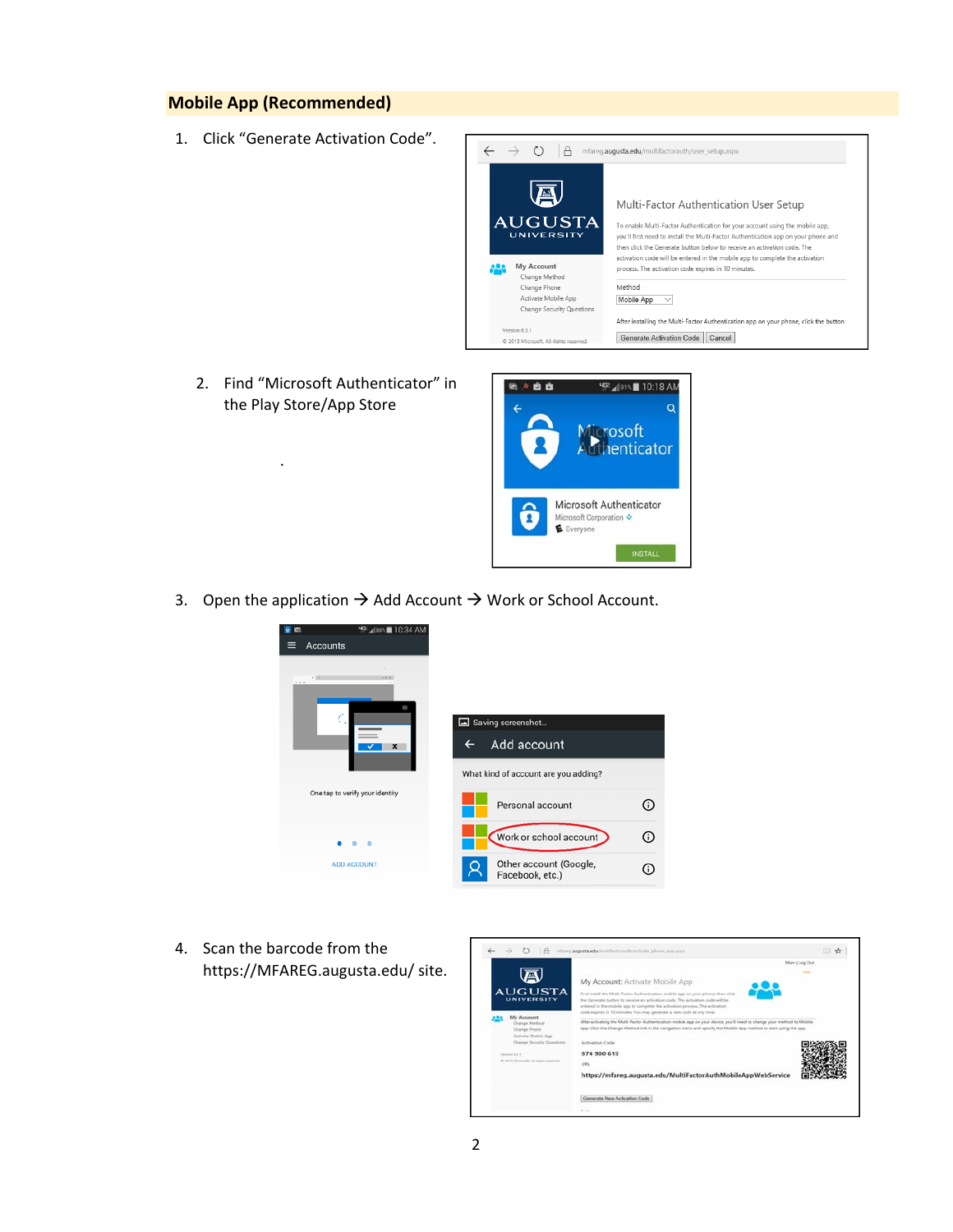### **Mobile App (Recommended)**

1. Click "Generate Activation Code".



2. Find "Microsoft Authenticator" in the Play Store/App Store

.



3. Open the application  $\rightarrow$  Add Account  $\rightarrow$  Work or School Account.



4. Scan the barcode from the https://MFAREG.augusta.edu/ site.

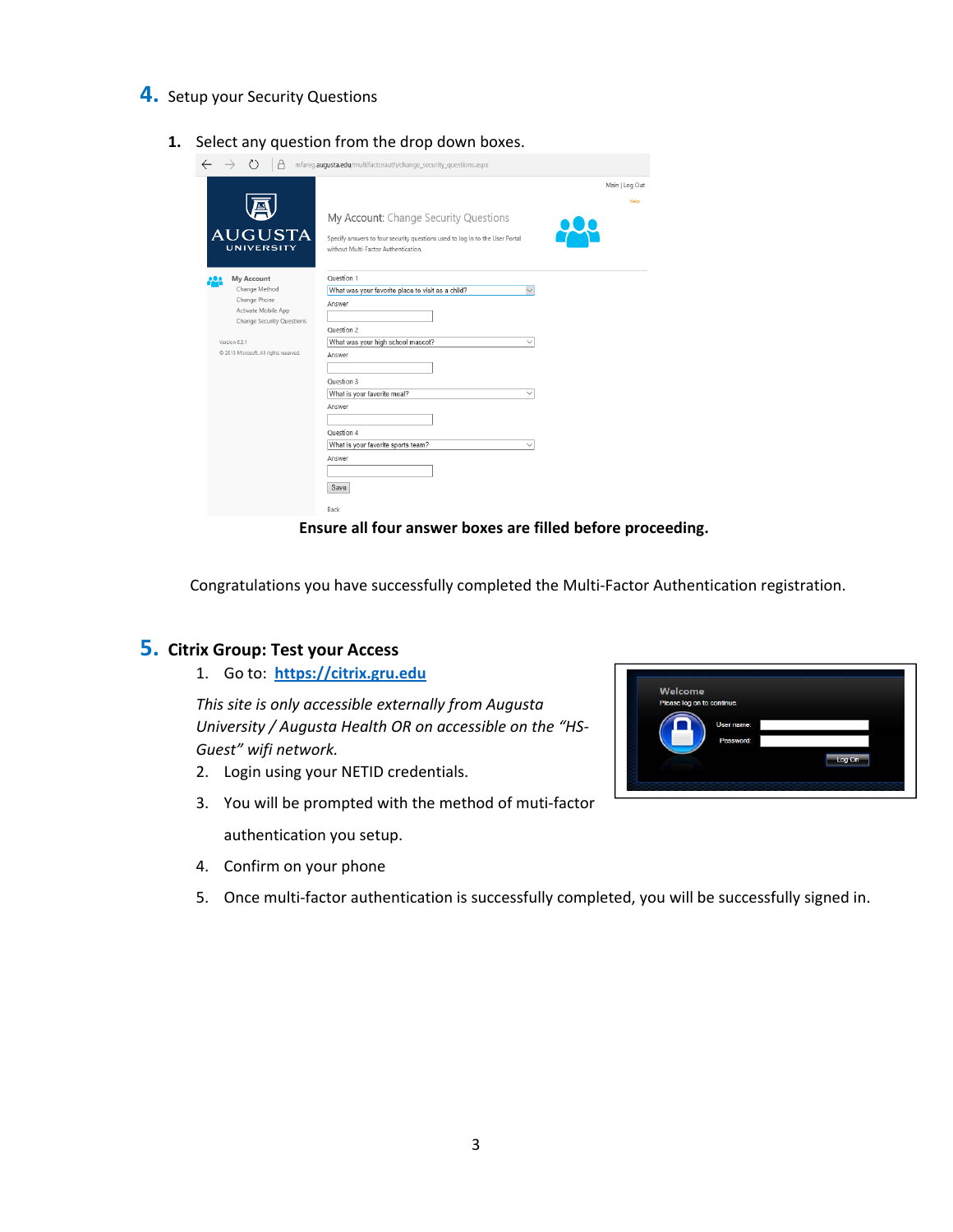- **4.** Setup your Security Questions
	- **1.** Select any question from the drop down boxes.

|                                        | mfareq.auqusta.edu/multifactorauth/change_security_questions.aspx                                                    |                |
|----------------------------------------|----------------------------------------------------------------------------------------------------------------------|----------------|
|                                        |                                                                                                                      | Main   Log Out |
|                                        |                                                                                                                      | Help           |
|                                        | My Account: Change Security Questions                                                                                |                |
| <b>AUGUSTA</b><br><b>UNIVERSITY</b>    | Specify answers to four security questions used to log in to the User Portal<br>without Multi-Factor Authentication. |                |
| <b>My Account</b>                      | Ouestion 1                                                                                                           |                |
| Change Method                          | What was your favorite place to visit as a child?<br>$\checkmark$                                                    |                |
| Change Phone<br>Activate Mobile App    | Answer                                                                                                               |                |
| <b>Change Security Questions</b>       |                                                                                                                      |                |
|                                        | Question 2                                                                                                           |                |
| Version 6.3.1                          | What was your high school mascot?<br>$\checkmark$                                                                    |                |
| @ 2013 Microsoft. All rights reserved. | Answer                                                                                                               |                |
|                                        |                                                                                                                      |                |
|                                        | Question 3                                                                                                           |                |
|                                        | What is your favorite meal?<br>$\checkmark$                                                                          |                |
|                                        | Answer                                                                                                               |                |
|                                        |                                                                                                                      |                |
|                                        | Question 4                                                                                                           |                |
|                                        | What is your favorite sports team?<br>$\checkmark$                                                                   |                |
|                                        | Answer                                                                                                               |                |
|                                        |                                                                                                                      |                |
|                                        | Save                                                                                                                 |                |
|                                        | Back                                                                                                                 |                |

**Ensure all four answer boxes are filled before proceeding.**

Congratulations you have successfully completed the Multi‐Factor Authentication registration.

## **5. Citrix Group: Test your Access**

1. Go to: **https://citrix.gru.edu**

*This site is only accessible externally from Augusta University / Augusta Health OR on accessible on the "HS‐ Guest" wifi network.*

- 2. Login using your NETID credentials.
- 3. You will be prompted with the method of muti‐factor authentication you setup.
- 4. Confirm on your phone
- 5. Once multi-factor authentication is successfully completed, you will be successfully signed in.